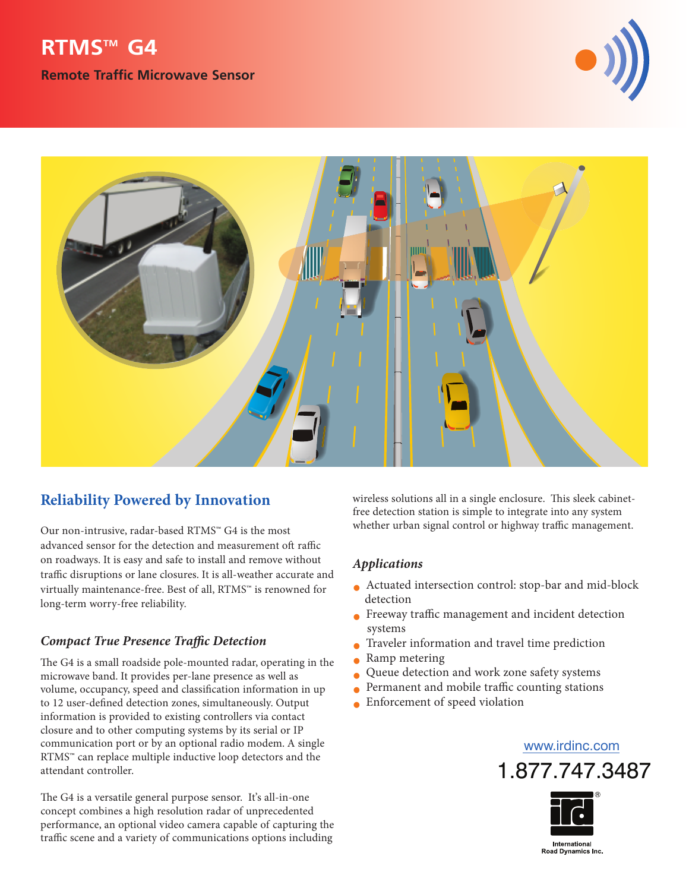# **RTMSTM G4**

**Remote Traffic Microwave Sensor**





## **Reliability Powered by Innovation**

Our non-intrusive, radar-based RTMS™ G4 is the most advanced sensor for the detection and measurement oft raffic on roadways. It is easy and safe to install and remove without traffic disruptions or lane closures. It is all-weather accurate and virtually maintenance-free. Best of all, RTMS™ is renowned for long-term worry-free reliability.

### *Compact True Presence Trac Detection*

The G4 is a small roadside pole-mounted radar, operating in the microwave band. It provides per-lane presence as well as volume, occupancy, speed and classification information in up to 12 user-defined detection zones, simultaneously. Output information is provided to existing controllers via contact closure and to other computing systems by its serial or IP communication port or by an optional radio modem. A single RTMS™ can replace multiple inductive loop detectors and the attendant controller.

The G4 is a versatile general purpose sensor. It's all-in-one concept combines a high resolution radar of unprecedented performance, an optional video camera capable of capturing the traffic scene and a variety of communications options including

wireless solutions all in a single enclosure. This sleek cabinetfree detection station is simple to integrate into any system whether urban signal control or highway traffic management.

#### *Applications*

- Actuated intersection control: stop-bar and mid-block detection
- $\bullet$  Freeway traffic management and incident detection systems
- Traveler information and travel time prediction
- Ramp metering
- Queue detection and work zone safety systems
- $\bullet$  Permanent and mobile traffic counting stations
- Enforcement of speed violation